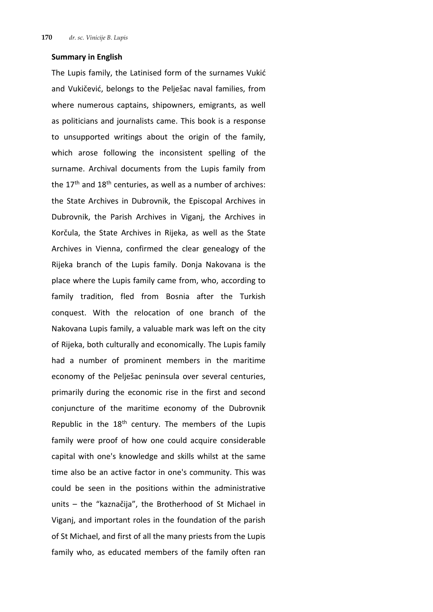## **Summary in English**

The Lupis family, the Latinised form of the surnames Vukić and Vukičević, belongs to the Pelješac naval families, from where numerous captains, shipowners, emigrants, as well as politicians and journalists came. This book is a response to unsupported writings about the origin of the family, which arose following the inconsistent spelling of the surname. Archival documents from the Lupis family from the  $17<sup>th</sup>$  and  $18<sup>th</sup>$  centuries, as well as a number of archives: the State Archives in Dubrovnik, the Episcopal Archives in Dubrovnik, the Parish Archives in Viganj, the Archives in Korčula, the State Archives in Rijeka, as well as the State Archives in Vienna, confirmed the clear genealogy of the Rijeka branch of the Lupis family. Donja Nakovana is the place where the Lupis family came from, who, according to family tradition, fled from Bosnia after the Turkish conquest. With the relocation of one branch of the Nakovana Lupis family, a valuable mark was left on the city of Rijeka, both culturally and economically. The Lupis family had a number of prominent members in the maritime economy of the Pelješac peninsula over several centuries, primarily during the economic rise in the first and second conjuncture of the maritime economy of the Dubrovnik Republic in the  $18<sup>th</sup>$  century. The members of the Lupis family were proof of how one could acquire considerable capital with one's knowledge and skills whilst at the same time also be an active factor in one's community. This was could be seen in the positions within the administrative units – the "kaznačija", the Brotherhood of St Michael in Viganj, and important roles in the foundation of the parish of St Michael, and first of all the many priests from the Lupis family who, as educated members of the family often ran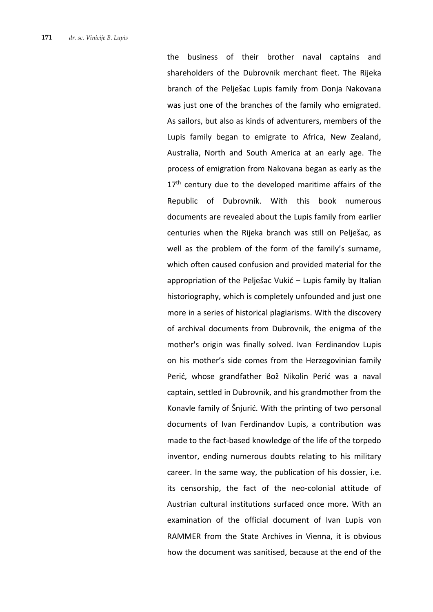the business of their brother naval captains and shareholders of the Dubrovnik merchant fleet. The Rijeka branch of the Pelješac Lupis family from Donja Nakovana was just one of the branches of the family who emigrated. As sailors, but also as kinds of adventurers, members of the Lupis family began to emigrate to Africa, New Zealand, Australia, North and South America at an early age. The process of emigration from Nakovana began as early as the  $17<sup>th</sup>$  century due to the developed maritime affairs of the Republic of Dubrovnik. With this book numerous documents are revealed about the Lupis family from earlier centuries when the Rijeka branch was still on Pelješac, as well as the problem of the form of the family's surname, which often caused confusion and provided material for the appropriation of the Pelješac Vukić – Lupis family by Italian historiography, which is completely unfounded and just one more in a series of historical plagiarisms. With the discovery of archival documents from Dubrovnik, the enigma of the mother's origin was finally solved. Ivan Ferdinandov Lupis on his mother's side comes from the Herzegovinian family Perić, whose grandfather Bož Nikolin Perić was a naval captain, settled in Dubrovnik, and his grandmother from the Konavle family of Šnjurić. With the printing of two personal documents of Ivan Ferdinandov Lupis, a contribution was made to the fact-based knowledge of the life of the torpedo inventor, ending numerous doubts relating to his military career. In the same way, the publication of his dossier, i.e. its censorship, the fact of the neo-colonial attitude of Austrian cultural institutions surfaced once more. With an examination of the official document of Ivan Lupis von RAMMER from the State Archives in Vienna, it is obvious how the document was sanitised, because at the end of the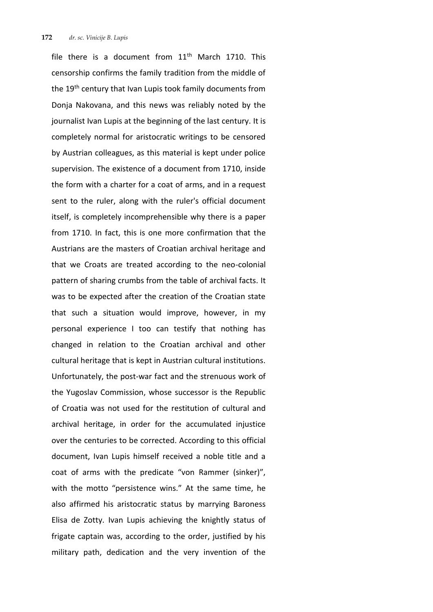file there is a document from  $11<sup>th</sup>$  March 1710. This censorship confirms the family tradition from the middle of the 19<sup>th</sup> century that Ivan Lupis took family documents from Donja Nakovana, and this news was reliably noted by the journalist Ivan Lupis at the beginning of the last century. It is completely normal for aristocratic writings to be censored by Austrian colleagues, as this material is kept under police supervision. The existence of a document from 1710, inside the form with a charter for a coat of arms, and in a request sent to the ruler, along with the ruler's official document itself, is completely incomprehensible why there is a paper from 1710. In fact, this is one more confirmation that the Austrians are the masters of Croatian archival heritage and that we Croats are treated according to the neo-colonial pattern of sharing crumbs from the table of archival facts. It was to be expected after the creation of the Croatian state that such a situation would improve, however, in my personal experience I too can testify that nothing has changed in relation to the Croatian archival and other cultural heritage that is kept in Austrian cultural institutions. Unfortunately, the post-war fact and the strenuous work of the Yugoslav Commission, whose successor is the Republic of Croatia was not used for the restitution of cultural and archival heritage, in order for the accumulated injustice over the centuries to be corrected. According to this official document, Ivan Lupis himself received a noble title and a coat of arms with the predicate "von Rammer (sinker)", with the motto "persistence wins." At the same time, he also affirmed his aristocratic status by marrying Baroness Elisa de Zotty. Ivan Lupis achieving the knightly status of frigate captain was, according to the order, justified by his military path, dedication and the very invention of the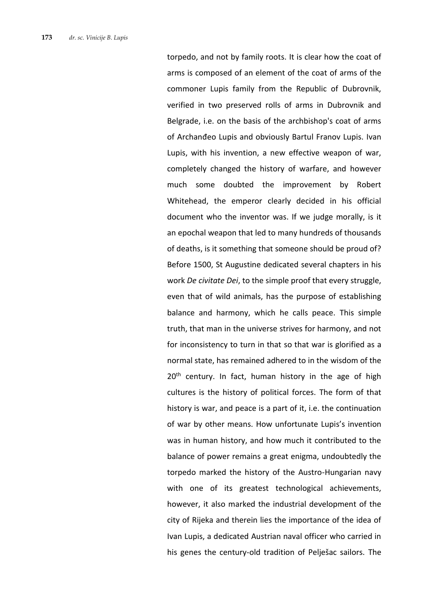torpedo, and not by family roots. It is clear how the coat of arms is composed of an element of the coat of arms of the commoner Lupis family from the Republic of Dubrovnik, verified in two preserved rolls of arms in Dubrovnik and Belgrade, i.e. on the basis of the archbishop's coat of arms of Archanđeo Lupis and obviously Bartul Franov Lupis. Ivan Lupis, with his invention, a new effective weapon of war, completely changed the history of warfare, and however much some doubted the improvement by Robert Whitehead, the emperor clearly decided in his official document who the inventor was. If we judge morally, is it an epochal weapon that led to many hundreds of thousands of deaths, is it something that someone should be proud of? Before 1500, St Augustine dedicated several chapters in his work *De civitate Dei*, to the simple proof that every struggle, even that of wild animals, has the purpose of establishing balance and harmony, which he calls peace. This simple truth, that man in the universe strives for harmony, and not for inconsistency to turn in that so that war is glorified as a normal state, has remained adhered to in the wisdom of the  $20<sup>th</sup>$  century. In fact, human history in the age of high cultures is the history of political forces. The form of that history is war, and peace is a part of it, i.e. the continuation of war by other means. How unfortunate Lupis's invention was in human history, and how much it contributed to the balance of power remains a great enigma, undoubtedly the torpedo marked the history of the Austro-Hungarian navy with one of its greatest technological achievements, however, it also marked the industrial development of the city of Rijeka and therein lies the importance of the idea of Ivan Lupis, a dedicated Austrian naval officer who carried in his genes the century-old tradition of Pelješac sailors. The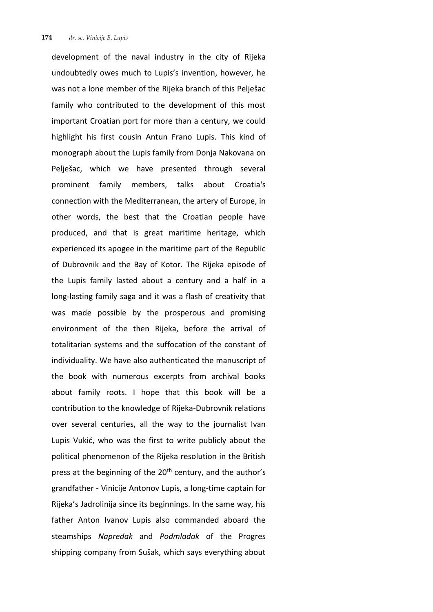development of the naval industry in the city of Rijeka undoubtedly owes much to Lupis's invention, however, he was not a lone member of the Rijeka branch of this Pelješac family who contributed to the development of this most important Croatian port for more than a century, we could highlight his first cousin Antun Frano Lupis. This kind of monograph about the Lupis family from Donja Nakovana on Pelješac, which we have presented through several prominent family members, talks about Croatia's connection with the Mediterranean, the artery of Europe, in other words, the best that the Croatian people have produced, and that is great maritime heritage, which experienced its apogee in the maritime part of the Republic of Dubrovnik and the Bay of Kotor. The Rijeka episode of the Lupis family lasted about a century and a half in a long-lasting family saga and it was a flash of creativity that was made possible by the prosperous and promising environment of the then Rijeka, before the arrival of totalitarian systems and the suffocation of the constant of individuality. We have also authenticated the manuscript of the book with numerous excerpts from archival books about family roots. I hope that this book will be a contribution to the knowledge of Rijeka-Dubrovnik relations over several centuries, all the way to the journalist Ivan Lupis Vukić, who was the first to write publicly about the political phenomenon of the Rijeka resolution in the British press at the beginning of the 20<sup>th</sup> century, and the author's grandfather - Vinicije Antonov Lupis, a long-time captain for Rijeka's Jadrolinija since its beginnings. In the same way, his father Anton Ivanov Lupis also commanded aboard the steamships *Napredak* and *Podmladak* of the Progres shipping company from Sušak, which says everything about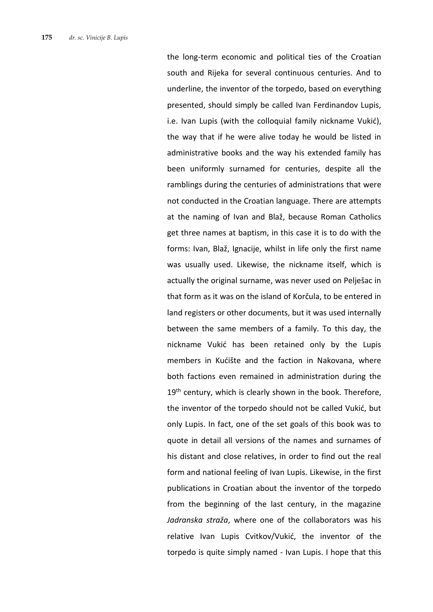the long-term economic and political ties of the Croatian south and Rijeka for several continuous centuries. And to underline, the inventor of the torpedo, based on everything presented, should simply be called Ivan Ferdinandov Lupis, i.e. Ivan Lupis (with the colloquial family nickname Vukić), the way that if he were alive today he would be listed in administrative books and the way his extended family has been uniformly surnamed for centuries, despite all the ramblings during the centuries of administrations that were not conducted in the Croatian language. There are attempts at the naming of Ivan and Blaž, because Roman Catholics get three names at baptism, in this case it is to do with the forms: Ivan, Blaž, Ignacije, whilst in life only the first name was usually used. Likewise, the nickname itself, which is actually the original surname, was never used on Pelješac in that form as it was on the island of Korčula, to be entered in land registers or other documents, but it was used internally between the same members of a family. To this day, the nickname Vukić has been retained only by the Lupis members in Kućište and the faction in Nakovana, where both factions even remained in administration during the 19<sup>th</sup> century, which is clearly shown in the book. Therefore, the inventor of the torpedo should not be called Vukić, but only Lupis. In fact, one of the set goals of this book was to quote in detail all versions of the names and surnames of his distant and close relatives, in order to find out the real form and national feeling of Ivan Lupis. Likewise, in the first publications in Croatian about the inventor of the torpedo from the beginning of the last century, in the magazine *Jadranska straža*, where one of the collaborators was his relative Ivan Lupis Cvitkov/Vukić, the inventor of the torpedo is quite simply named - Ivan Lupis. I hope that this